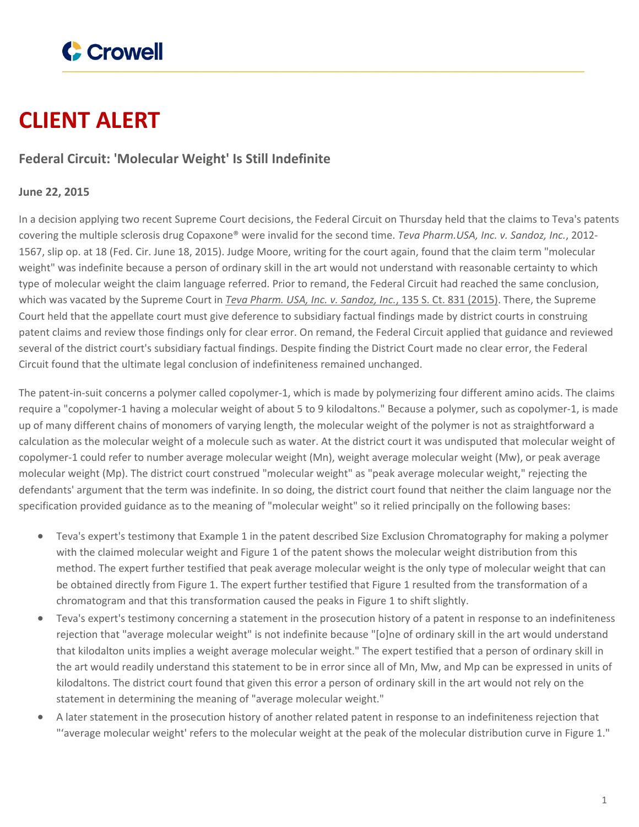

## **CLIENT ALERT**

## **Federal Circuit: 'Molecular Weight' Is Still Indefinite**

## **June 22, 2015**

In a decision applying two recent Supreme Court decisions, the Federal Circuit on Thursday held that the claims to Teva's patents covering the multiple sclerosis drug Copaxone® were invalid for the second time. *Teva Pharm.USA, Inc. v. Sandoz, Inc.*, 2012- 1567, slip op. at 18 (Fed. Cir. June 18, 2015). Judge Moore, writing for the court again, found that the claim term "molecular weight" was indefinite because a person of ordinary skill in the art would not understand with reasonable certainty to which type of molecular weight the claim language referred. Prior to remand, the Federal Circuit had reached the same conclusion, which was vacated by the Supreme Court in *Teva Pharm. USA, Inc. v. [Sandoz,](http://www.crowell.com/NewsEvents/All/Supreme-Court-Overturns-Federal-Circuits-De-Novo-Standard-of-Review-for-Patent-Claim-Construction-Rulings) Inc.*, 135 S. Ct. 831 (2015). There, the Supreme Court held that the appellate court must give deference to subsidiary factual findings made by district courts in construing patent claims and review those findings only for clear error. On remand, the Federal Circuit applied that guidance and reviewed several of the district court's subsidiary factual findings. Despite finding the District Court made no clear error, the Federal Circuit found that the ultimate legal conclusion of indefiniteness remained unchanged.

The patent-in-suit concerns a polymer called copolymer-1, which is made by polymerizing four different amino acids. The claims require a "copolymer-1 having a molecular weight of about 5 to 9 kilodaltons." Because a polymer, such as copolymer-1, is made up of many different chains of monomers of varying length, the molecular weight of the polymer is not as straightforward a calculation as the molecular weight of a molecule such as water. At the district court it was undisputed that molecular weight of copolymer-1 could refer to number average molecular weight (Mn), weight average molecular weight (Mw), or peak average molecular weight (Mp). The district court construed "molecular weight" as "peak average molecular weight," rejecting the defendants' argument that the term was indefinite. In so doing, the district court found that neither the claim language nor the specification provided guidance as to the meaning of "molecular weight" so it relied principally on the following bases:

- Teva's expert's testimony that Example 1 in the patent described Size Exclusion Chromatography for making a polymer with the claimed molecular weight and Figure 1 of the patent shows the molecular weight distribution from this method. The expert further testified that peak average molecular weight is the only type of molecular weight that can be obtained directly from Figure 1. The expert further testified that Figure 1 resulted from the transformation of a chromatogram and that this transformation caused the peaks in Figure 1 to shift slightly.
- Teva's expert's testimony concerning a statement in the prosecution history of a patent in response to an indefiniteness rejection that "average molecular weight" is not indefinite because "[o]ne of ordinary skill in the art would understand that kilodalton units implies a weight average molecular weight." The expert testified that a person of ordinary skill in the art would readily understand this statement to be in error since all of Mn, Mw, and Mp can be expressed in units of kilodaltons. The district court found that given this error a person of ordinary skill in the art would not rely on the statement in determining the meaning of "average molecular weight."
- A later statement in the prosecution history of another related patent in response to an indefiniteness rejection that "'average molecular weight' refers to the molecular weight at the peak of the molecular distribution curve in Figure 1."